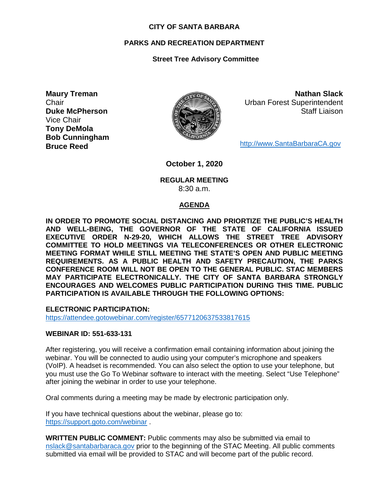### **CITY OF SANTA BARBARA**

## **PARKS AND RECREATION DEPARTMENT**

# **Street Tree Advisory Committee**

**Maury Treman Chair Duke McPherson** Vice Chair **Tony DeMola Bob Cunningham Bruce Reed**



**Nathan Slack** Urban Forest Superintendent Staff Liaison

[http://www.SantaBarbaraCA.gov](http://www.santabarbaraca.gov/)

**October 1, 2020**

### **REGULAR MEETING** 8:30 a.m.

## **AGENDA**

**IN ORDER TO PROMOTE SOCIAL DISTANCING AND PRIORTIZE THE PUBLIC'S HEALTH AND WELL-BEING, THE GOVERNOR OF THE STATE OF CALIFORNIA ISSUED EXECUTIVE ORDER N-29-20, WHICH ALLOWS THE STREET TREE ADVISORY COMMITTEE TO HOLD MEETINGS VIA TELECONFERENCES OR OTHER ELECTRONIC MEETING FORMAT WHILE STILL MEETING THE STATE'S OPEN AND PUBLIC MEETING REQUIREMENTS. AS A PUBLIC HEALTH AND SAFETY PRECAUTION, THE PARKS CONFERENCE ROOM WILL NOT BE OPEN TO THE GENERAL PUBLIC. STAC MEMBERS MAY PARTICIPATE ELECTRONICALLY. THE CITY OF SANTA BARBARA STRONGLY ENCOURAGES AND WELCOMES PUBLIC PARTICIPATION DURING THIS TIME. PUBLIC PARTICIPATION IS AVAILABLE THROUGH THE FOLLOWING OPTIONS:**

**ELECTRONIC PARTICIPATION:** 

<https://attendee.gotowebinar.com/register/6577120637533817615>

## **WEBINAR ID: 551-633-131**

After registering, you will receive a confirmation email containing information about joining the webinar. You will be connected to audio using your computer's microphone and speakers (VoIP). A headset is recommended. You can also select the option to use your telephone, but you must use the Go To Webinar software to interact with the meeting. Select "Use Telephone" after joining the webinar in order to use your telephone.

Oral comments during a meeting may be made by electronic participation only.

If you have technical questions about the webinar, please go to: <https://support.goto.com/webinar> .

**WRITTEN PUBLIC COMMENT:** Public comments may also be submitted via email to [nslack@santabarbaraca.gov](mailto:nslack@santabarbaraca.gov) prior to the beginning of the STAC Meeting. All public comments submitted via email will be provided to STAC and will become part of the public record.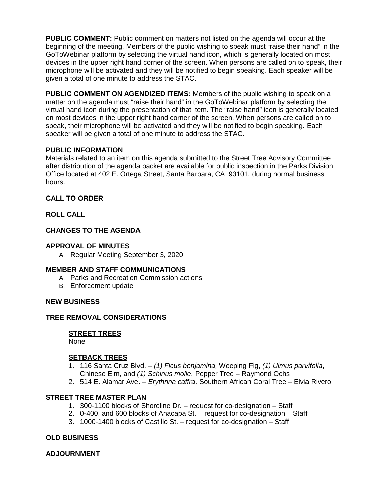**PUBLIC COMMENT:** Public comment on matters not listed on the agenda will occur at the beginning of the meeting. Members of the public wishing to speak must "raise their hand" in the GoToWebinar platform by selecting the virtual hand icon, which is generally located on most devices in the upper right hand corner of the screen. When persons are called on to speak, their microphone will be activated and they will be notified to begin speaking. Each speaker will be given a total of one minute to address the STAC.

**PUBLIC COMMENT ON AGENDIZED ITEMS:** Members of the public wishing to speak on a matter on the agenda must "raise their hand" in the GoToWebinar platform by selecting the virtual hand icon during the presentation of that item. The "raise hand" icon is generally located on most devices in the upper right hand corner of the screen. When persons are called on to speak, their microphone will be activated and they will be notified to begin speaking. Each speaker will be given a total of one minute to address the STAC.

## **PUBLIC INFORMATION**

Materials related to an item on this agenda submitted to the Street Tree Advisory Committee after distribution of the agenda packet are available for public inspection in the Parks Division Office located at 402 E. Ortega Street, Santa Barbara, CA 93101, during normal business hours.

# **CALL TO ORDER**

**ROLL CALL**

# **CHANGES TO THE AGENDA**

# **APPROVAL OF MINUTES**

A. Regular Meeting September 3, 2020

## **MEMBER AND STAFF COMMUNICATIONS**

- A. Parks and Recreation Commission actions
- B. Enforcement update

## **NEW BUSINESS**

# **TREE REMOVAL CONSIDERATIONS**

## **STREET TREES**

None

## **SETBACK TREES**

- 1. 116 Santa Cruz Blvd. *(1) Ficus benjamina,* Weeping Fig, *(1) Ulmus parvifolia*, Chinese Elm, and *(1) Schinus molle*, Pepper Tree – Raymond Ochs
- 2. 514 E. Alamar Ave. *Erythrina caffra,* Southern African Coral Tree Elvia Rivero

## **STREET TREE MASTER PLAN**

- 1. 300-1100 blocks of Shoreline Dr. request for co-designation Staff
- 2. 0-400, and 600 blocks of Anacapa St. request for co-designation Staff
- 3. 1000-1400 blocks of Castillo St. request for co-designation Staff

## **OLD BUSINESS**

## **ADJOURNMENT**